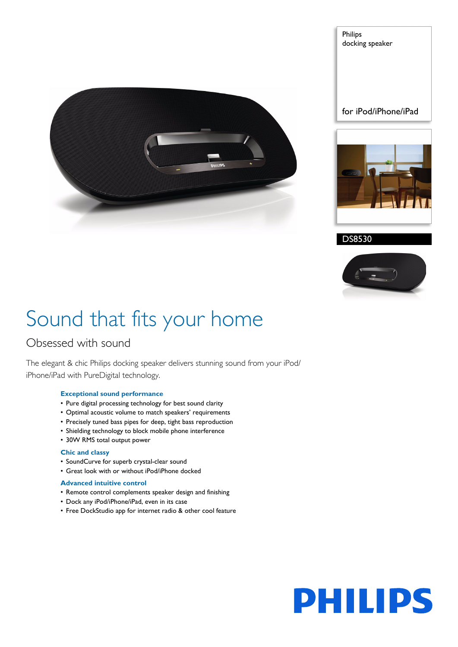

for iPod/iPhone/iPad

Philips

docking speaker



DS8530



## Sound that fits your home

### Obsessed with sound

The elegant & chic Philips docking speaker delivers stunning sound from your iPod/ iPhone/iPad with PureDigital technology.

#### **Exceptional sound performance**

- Pure digital processing technology for best sound clarity
- Optimal acoustic volume to match speakers' requirements
- Precisely tuned bass pipes for deep, tight bass reproduction
- Shielding technology to block mobile phone interference
- 30W RMS total output power

#### **Chic and classy**

- SoundCurve for superb crystal-clear sound
- Great look with or without iPod/iPhone docked

#### **Advanced intuitive control**

- Remote control complements speaker design and finishing
- Dock any iPod/iPhone/iPad, even in its case
- Free DockStudio app for internet radio & other cool feature

# **PHILIPS**